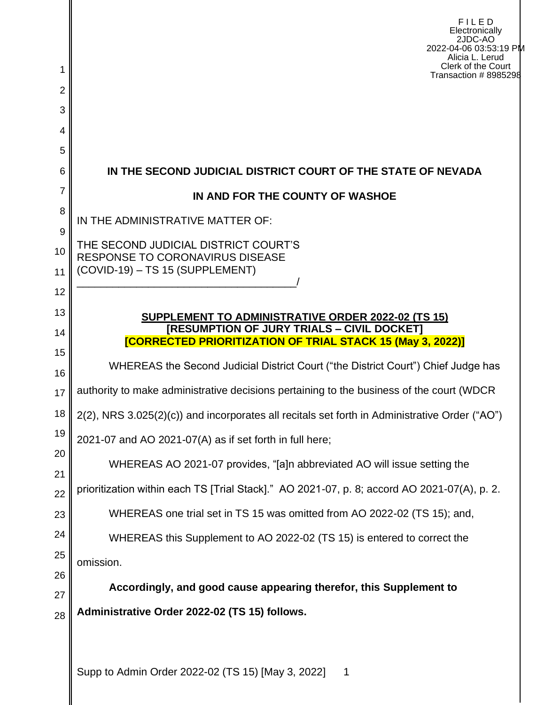| 1             | FILED<br>Electronically<br>2JDC-AO<br>2022-04-06 03:53:19 PM<br>Alicia L. Lerud<br>Clerk of the Court             |  |  |  |  |  |
|---------------|-------------------------------------------------------------------------------------------------------------------|--|--|--|--|--|
| 2             | Transaction # 8985298                                                                                             |  |  |  |  |  |
| 3             |                                                                                                                   |  |  |  |  |  |
| 4             |                                                                                                                   |  |  |  |  |  |
| 5             |                                                                                                                   |  |  |  |  |  |
| 6             | IN THE SECOND JUDICIAL DISTRICT COURT OF THE STATE OF NEVADA                                                      |  |  |  |  |  |
| 7             | IN AND FOR THE COUNTY OF WASHOE                                                                                   |  |  |  |  |  |
| 8             | IN THE ADMINISTRATIVE MATTER OF:                                                                                  |  |  |  |  |  |
| 9<br>10<br>11 | THE SECOND JUDICIAL DISTRICT COURT'S<br><b>RESPONSE TO CORONAVIRUS DISEASE</b><br>(COVID-19) - TS 15 (SUPPLEMENT) |  |  |  |  |  |
| 12            |                                                                                                                   |  |  |  |  |  |
| 13            | SUPPLEMENT TO ADMINISTRATIVE ORDER 2022-02 (TS 15)                                                                |  |  |  |  |  |
| 14            | [RESUMPTION OF JURY TRIALS - CIVIL DOCKET]<br><b>[CORRECTED PRIORITIZATION OF TRIAL STACK 15 (May 3, 2022)]</b>   |  |  |  |  |  |
| 15            | WHEREAS the Second Judicial District Court ("the District Court") Chief Judge has                                 |  |  |  |  |  |
| 16<br>17      | authority to make administrative decisions pertaining to the business of the court (WDCR                          |  |  |  |  |  |
| 18            | 2(2), NRS 3.025(2)(c)) and incorporates all recitals set forth in Administrative Order ("AO")                     |  |  |  |  |  |
| 19            |                                                                                                                   |  |  |  |  |  |
| 20            | 2021-07 and AO 2021-07(A) as if set forth in full here;                                                           |  |  |  |  |  |
| 21            | WHEREAS AO 2021-07 provides, "[a]n abbreviated AO will issue setting the                                          |  |  |  |  |  |
| 22            | prioritization within each TS [Trial Stack]." AO 2021-07, p. 8; accord AO 2021-07(A), p. 2.                       |  |  |  |  |  |
| 23            | WHEREAS one trial set in TS 15 was omitted from AO 2022-02 (TS 15); and,                                          |  |  |  |  |  |
| 24            | WHEREAS this Supplement to AO 2022-02 (TS 15) is entered to correct the                                           |  |  |  |  |  |
| 25            | omission.                                                                                                         |  |  |  |  |  |
| 26            | Accordingly, and good cause appearing therefor, this Supplement to                                                |  |  |  |  |  |
| 27            |                                                                                                                   |  |  |  |  |  |
| 28            | Administrative Order 2022-02 (TS 15) follows.<br>Supp to Admin Order 2022-02 (TS 15) IMay 3, 20221                |  |  |  |  |  |

Supp to Admin Order 2022-02 (TS 15) [May 3, 2022] 1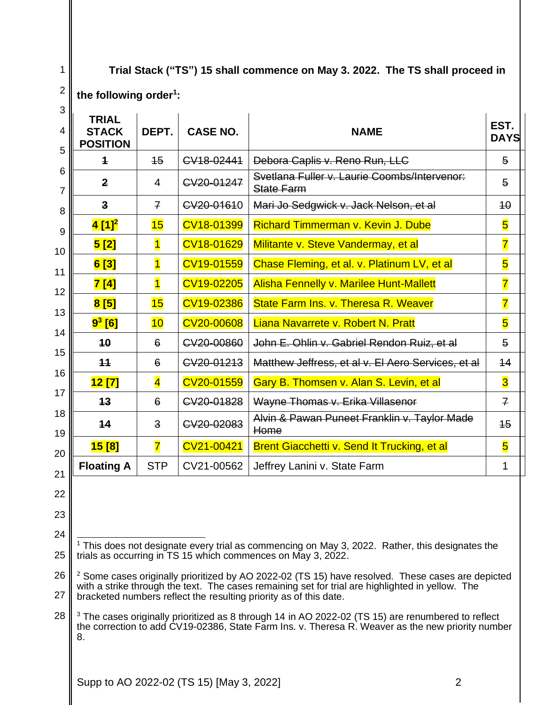**Trial Stack ("TS") 15 shall commence on May 3. 2022. The TS shall proceed in** 

## **the following order<sup>1</sup> :**

| <b>TRIAL</b><br><b>STACK</b><br><b>POSITION</b>                                                                                                                       | DEPT.                   | <b>CASE NO.</b> | <b>NAME</b>                                                                                                                                                                                                        | EST.<br><b>DAYS</b>     |
|-----------------------------------------------------------------------------------------------------------------------------------------------------------------------|-------------------------|-----------------|--------------------------------------------------------------------------------------------------------------------------------------------------------------------------------------------------------------------|-------------------------|
| $\ddagger$                                                                                                                                                            | $\overline{15}$         | CV18-02441      | Debora Caplis v. Reno Run, LLC                                                                                                                                                                                     | $\overline{5}$          |
| $\mathbf{2}$                                                                                                                                                          | $\overline{4}$          | CV20-01247      | Svetlana Fuller v. Laurie Coombs/Intervenor:<br><b>State Farm</b>                                                                                                                                                  | $\overline{5}$          |
| 3                                                                                                                                                                     | $\overline{f}$          | CV20-01610      | Mari Jo Sedgwick v. Jack Nelson, et al                                                                                                                                                                             | 40                      |
| 4 [1] <sup>2</sup>                                                                                                                                                    | 15                      | CV18-01399      | <b>Richard Timmerman v. Kevin J. Dube</b>                                                                                                                                                                          | $\overline{\mathbf{5}}$ |
| 5[2]                                                                                                                                                                  | $\overline{1}$          | CV18-01629      | Militante v. Steve Vandermay, et al                                                                                                                                                                                | $\overline{\mathbf{7}}$ |
| 6[3]                                                                                                                                                                  | $\overline{1}$          | CV19-01559      | Chase Fleming, et al. v. Platinum LV, et al                                                                                                                                                                        | $\overline{\mathbf{5}}$ |
| 7[4]                                                                                                                                                                  | $\overline{1}$          | CV19-02205      | <b>Alisha Fennelly v. Marilee Hunt-Mallett</b>                                                                                                                                                                     | $\overline{7}$          |
| 8[5]                                                                                                                                                                  | 15                      | CV19-02386      | State Farm Ins. v. Theresa R. Weaver                                                                                                                                                                               | $\overline{\mathbf{7}}$ |
| $9^3$ [6]                                                                                                                                                             | 10                      | CV20-00608      | Liana Navarrete v. Robert N. Pratt                                                                                                                                                                                 | 5                       |
| 10                                                                                                                                                                    | 6                       | CV20-00860      | John E. Ohlin v. Gabriel Rendon Ruiz, et al                                                                                                                                                                        | 5                       |
| 11                                                                                                                                                                    | 6                       | CV20-01213      | Matthew Jeffress, et al v. El Aero Services, et al                                                                                                                                                                 | 14                      |
| 12 [7]                                                                                                                                                                | $\overline{\mathbf{4}}$ | CV20-01559      | Gary B. Thomsen v. Alan S. Levin, et al                                                                                                                                                                            | $\overline{\mathbf{3}}$ |
| 13                                                                                                                                                                    | 6                       | CV20-01828      | Wayne Thomas v. Erika Villasenor                                                                                                                                                                                   | $\overline{f}$          |
| 14                                                                                                                                                                    | $\overline{\mathbf{3}}$ | CV20-02083      | Alvin & Pawan Puneet Franklin v. Taylor Made<br>Home                                                                                                                                                               | 45                      |
| 15[8]                                                                                                                                                                 | $\overline{\mathbf{7}}$ | CV21-00421      | Brent Giacchetti v. Send It Trucking, et al                                                                                                                                                                        | $\overline{\mathbf{5}}$ |
|                                                                                                                                                                       | <b>STP</b>              | CV21-00562      | Jeffrey Lanini v. State Farm                                                                                                                                                                                       | 1                       |
| <b>Floating A</b>                                                                                                                                                     |                         |                 | <sup>1</sup> This does not designate every trial as commencing on May 3, 2022. Rather, this designates the                                                                                                         |                         |
|                                                                                                                                                                       |                         |                 | trials as occurring in TS 15 which commences on May 3, 2022.                                                                                                                                                       |                         |
|                                                                                                                                                                       |                         |                 | <sup>2</sup> Some cases originally prioritized by AO 2022-02 (TS 15) have resolved. These cases are depicted                                                                                                       |                         |
| with a strike through the text. The cases remaining set for trial are highlighted in yellow. The<br>bracketed numbers reflect the resulting priority as of this date. |                         |                 |                                                                                                                                                                                                                    |                         |
|                                                                                                                                                                       |                         |                 | <sup>3</sup> The cases originally prioritized as 8 through 14 in AO 2022-02 (TS 15) are renumbered to reflect<br>the correction to add CV19-02386, State Farm Ins. v. Theresa R. Weaver as the new priority number |                         |

Supp to AO 2022-02 (TS 15) [May 3, 2022] 2